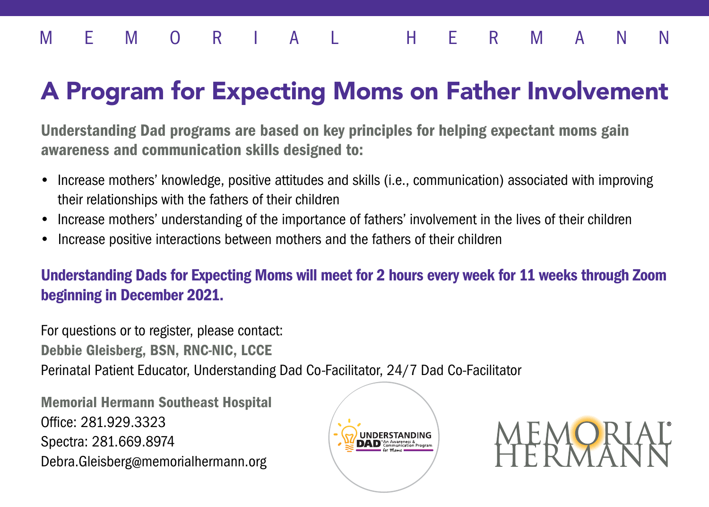### MEMORIAL HERMANN

## A Program for Expecting Moms on Father Involvement

Understanding Dad programs are based on key principles for helping expectant moms gain awareness and communication skills designed to:

- Increase mothers' knowledge, positive attitudes and skills (i.e., communication) associated with improving their relationships with the fathers of their children
- Increase mothers' understanding of the importance of fathers' involvement in the lives of their children
- Increase positive interactions between mothers and the fathers of their children

Understanding Dads for Expecting Moms will meet for 2 hours every week for 11 weeks through Zoom beginning in December 2021.

For questions or to register, please contact: Debbie Gleisberg, BSN, RNC-NIC, LCCE Perinatal Patient Educator, Understanding Dad Co-Facilitator, 24/7 Dad Co-Facilitator

Memorial Hermann Southeast Hospital Office: 281.929.3323 Spectra: 281.669.8974 Debra.Gleisberg@memorialhermann.org